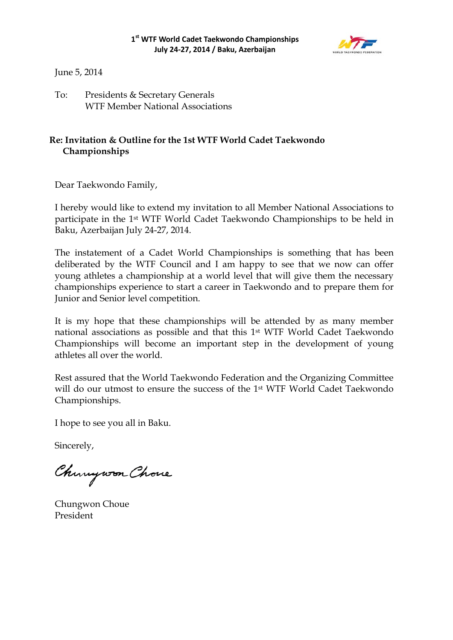

June 5, 2014

To: Presidents & Secretary Generals WTF Member National Associations

## **Re: Invitation & Outline for the 1st WTF World Cadet Taekwondo Championships**

Dear Taekwondo Family,

I hereby would like to extend my invitation to all Member National Associations to participate in the 1st WTF World Cadet Taekwondo Championships to be held in Baku, Azerbaijan July 24-27, 2014.

The instatement of a Cadet World Championships is something that has been deliberated by the WTF Council and I am happy to see that we now can offer young athletes a championship at a world level that will give them the necessary championships experience to start a career in Taekwondo and to prepare them for Junior and Senior level competition.

It is my hope that these championships will be attended by as many member national associations as possible and that this 1st WTF World Cadet Taekwondo Championships will become an important step in the development of young athletes all over the world.

Rest assured that the World Taekwondo Federation and the Organizing Committee will do our utmost to ensure the success of the 1<sup>st</sup> WTF World Cadet Taekwondo Championships.

I hope to see you all in Baku.

Sincerely,

Chungwon Chove

Chungwon Choue President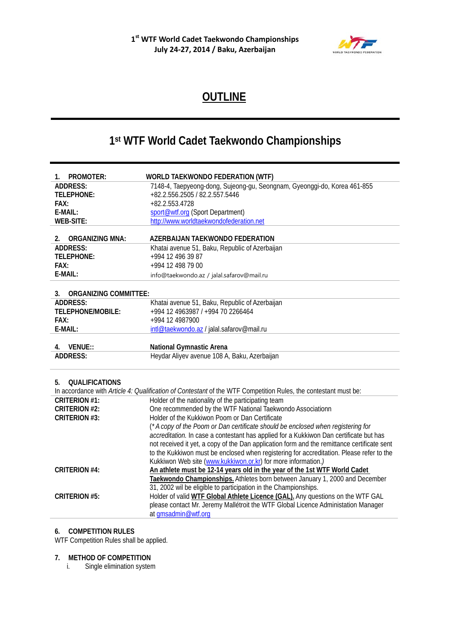

# **OUTLINE**

# **1st WTF World Cadet Taekwondo Championships**

| PROMOTER:<br>1.                         | <b>WORLD TAEKWONDO FEDERATION (WTF)</b>                                                                         |
|-----------------------------------------|-----------------------------------------------------------------------------------------------------------------|
| <b>ADDRESS:</b>                         | 7148-4, Taepyeong-dong, Sujeong-gu, Seongnam, Gyeonggi-do, Korea 461-855                                        |
| <b>TELEPHONE:</b>                       | +82.2.556.2505 / 82.2.557.5446                                                                                  |
| <b>FAX:</b>                             | +82.2.553.4728                                                                                                  |
| E-MAIL:                                 | sport@wtf.org (Sport Department)                                                                                |
| <b>WEB-SITE:</b>                        | http://www.worldtaekwondofederation.net                                                                         |
| <b>ORGANIZING MNA:</b><br>$\mathcal{P}$ | AZERBAIJAN TAEKWONDO FEDERATION                                                                                 |
| <b>ADDRESS:</b>                         | Khatai avenue 51, Baku, Republic of Azerbaijan                                                                  |
| <b>TELEPHONE:</b>                       | +994 12 496 39 87                                                                                               |
| FAX:                                    | +994 12 498 79 00                                                                                               |
| E-MAIL:                                 | info@taekwondo.az / jalal.safarov@mail.ru                                                                       |
| <b>ORGANIZING COMMITTEE:</b><br>3.      |                                                                                                                 |
| <b>ADDRESS:</b>                         | Khatai avenue 51, Baku, Republic of Azerbaijan                                                                  |
| <b>TELEPHONE/MOBILE:</b>                | +994 12 4963987 / +994 70 2266464                                                                               |
| <b>FAX:</b>                             | +994 12 4987900                                                                                                 |
| E-MAIL:                                 | intl@taekwondo.az / jalal.safarov@mail.ru                                                                       |
|                                         |                                                                                                                 |
| VENUE::<br>4.                           | National Gymnastic Arena                                                                                        |
| <b>ADDRESS:</b>                         | Heydar Aliyev avenue 108 A, Baku, Azerbaijan                                                                    |
|                                         |                                                                                                                 |
| <b>QUALIFICATIONS</b><br>5.             |                                                                                                                 |
|                                         | In accordance with Article 4: Qualification of Contestant of the WTF Competition Rules, the contestant must be: |
| <b>CRITERION #1:</b>                    | Holder of the nationality of the participating team                                                             |
| <b>CRITERION #2:</b>                    | One recommended by the WTF National Taekwondo Associationn                                                      |
| <b>CRITERION #3:</b>                    | Holder of the Kukkiwon Poom or Dan Certificate                                                                  |
|                                         | (*A copy of the Poom or Dan certificate should be enclosed when registering for                                 |
|                                         | accreditation. In case a contestant has applied for a Kukkiwon Dan certificate but has                          |
|                                         | not received it yet, a copy of the Dan application form and the remittance certificate sent                     |
|                                         | to the Kukkiwon must be enclosed when registering for accreditation. Please refer to the                        |
|                                         | Kukkiwon Web site (www.kukkiwon.or.kr) for more information.)                                                   |
| <b>CRITERION #4:</b>                    | An athlete must be 12-14 years old in the year of the 1st WTF World Cadet                                       |
|                                         | Taekwondo Championships. Athletes born between January 1, 2000 and December                                     |
|                                         | 31, 2002 wil be eligible to participation in the Championships.                                                 |
| <b>CRITERION #5:</b>                    | Holder of valid WTF Global Athlete Licence (GAL). Any questions on the WTF GAL                                  |
|                                         | please contact Mr. Jeremy Mallétroit the WTF Global Licence Administation Manager                               |
|                                         | at gmsadmin@wtf.org                                                                                             |

#### **6. COMPETITION RULES**

WTF Competition Rules shall be applied.

# **7. METHOD OF COMPETITION**

Single elimination system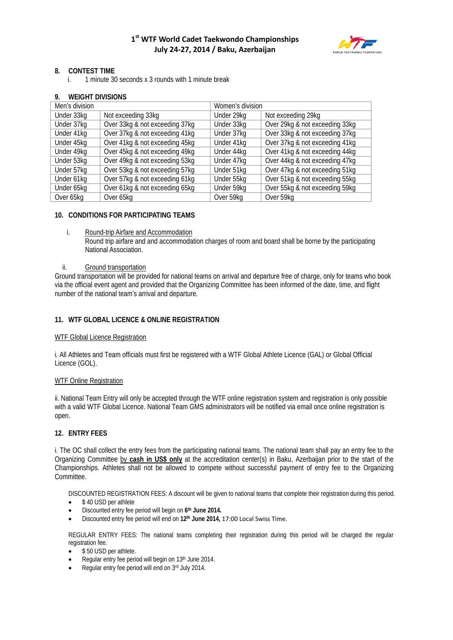

#### **8. CONTEST TIME**

i. 1 minute 30 seconds x 3 rounds with 1 minute break

#### **9. WEIGHT DIVISIONS**

| Men's division |                                | Women's division |                                |  |
|----------------|--------------------------------|------------------|--------------------------------|--|
| Under 33kg     | Not exceeding 33kg             | Under 29kg       | Not exceeding 29kg             |  |
| Under 37kg     | Over 33kg & not exceeding 37kg | Under 33kg       | Over 29kg & not exceeding 33kg |  |
| Under 41kg     | Over 37kg & not exceeding 41kg | Under 37kg       | Over 33kg & not exceeding 37kg |  |
| Under 45kg     | Over 41kg & not exceeding 45kg | Under 41kg       | Over 37kg & not exceeding 41kg |  |
| Under 49kg     | Over 45kg & not exceeding 49kg | Under 44kg       | Over 41kg & not exceeding 44kg |  |
| Under 53kg     | Over 49kg & not exceeding 53kg | Under 47kg       | Over 44kg & not exceeding 47kg |  |
| Under 57kg     | Over 53kg & not exceeding 57kg | Under 51kg       | Over 47kg & not exceeding 51kg |  |
| Under 61kg     | Over 57kg & not exceeding 61kg | Under 55kg       | Over 51kg & not exceeding 55kg |  |
| Under 65kg     | Over 61kg & not exceeding 65kg | Under 59kg       | Over 55kg & not exceeding 59kg |  |
| Over 65kg      | Over 65kg                      | Over 59kg        | Over 59kg                      |  |

#### **10. CONDITIONS FOR PARTICIPATING TEAMS**

#### i. Round-trip Airfare and Accommodation

Round trip airfare and and accommodation charges of room and board shall be borne by the participating National Association.

#### ii. Ground transportation

Ground transportation will be provided for national teams on arrival and departure free of charge, only for teams who book via the official event agent and provided that the Organizing Committee has been informed of the date, time, and flight number of the national team's arrival and departure.

#### **11. WTF GLOBAL LICENCE & ONLINE REGISTRATION**

#### WTF Global Licence Registration

i. All Athletes and Team officials must first be registered with a WTF Global Athlete Licence (GAL) or Global Official Licence (GOL).

#### WTF Online Registration

ii. National Team Entry will only be accepted through the WTF online registration system and registration is only possible with a valid WTF Global Licence. National Team GMS administrators will be notified via email once online registration is open.

#### **12. ENTRY FEES**

i. The OC shall collect the entry fees from the participating national teams. The national team shall pay an entry fee to the Organizing Committee by **cash in US\$ only** at the accreditation center(s) in Baku, Azerbaijan prior to the start of the Championships. Athletes shall not be allowed to compete without successful payment of entry fee to the Organizing Committee.

DISCOUNTED REGISTRATION FEES: A discount will be given to national teams that complete their registration during this period.

- \$40 USD per athlete
- Discounted entry fee period will begin on **6th June 2014.**
- Discounted entry fee period will end on **12th June 2014,** 17:00 Local Swiss Time.

REGULAR ENTRY FEES: The national teams completing their registration during this period will be charged the regular registration fee.

- \$50 USD per athlete.
- Regular entry fee period will begin on 13<sup>th</sup> June 2014.
- Regular entry fee period will end on 3rd July 2014.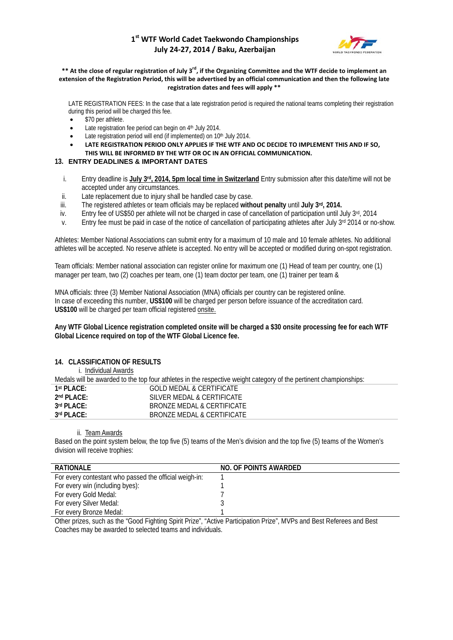### **1st WTF World Cadet Taekwondo Championships July 24-27, 2014 / Baku, Azerbaijan**



#### \*\* At the close of regular registration of July 3<sup>rd</sup>, if the Organizing Committee and the WTF decide to implement an **extension of the Registration Period, this will be advertised by an official communication and then the following late registration dates and fees will apply \*\***

LATE REGISTRATION FEES: In the case that a late registration period is required the national teams completing their registration during this period will be charged this fee.

- \$70 per athlete.
- Late registration fee period can begin on 4<sup>th</sup> July 2014.
- Late registration period will end (if implemented) on 10<sup>th</sup> July 2014.
- **LATE REGISTRATION PERIOD ONLY APPLIES IF THE WTF AND OC DECIDE TO IMPLEMENT THIS AND IF SO, THIS WILL BE INFORMED BY THE WTF OR OC IN AN OFFICIAL COMMUNICATION.**

#### **13. ENTRY DEADLINES & IMPORTANT DATES**

- i. Entry deadline is July 3<sup>rd</sup>, 2014, 5pm local time in Switzerland Entry submission after this date/time will not be accepted under any circumstances.
- ii. Late replacement due to injury shall be handled case by case.
- iii. The registered athletes or team officials may be replaced **without penalty** until **July 3rd, 2014.**
- iv. Entry fee of US\$50 per athlete will not be charged in case of cancellation of participation until July 3rd, 2014
- v. Entry fee must be paid in case of the notice of cancellation of participating athletes after July 3rd 2014 or no-show.

Athletes: Member National Associations can submit entry for a maximum of 10 male and 10 female athletes. No additional athletes will be accepted. No reserve athlete is accepted. No entry will be accepted or modified during on-spot registration.

Team officials: Member national association can register online for maximum one (1) Head of team per country, one (1) manager per team, two (2) coaches per team, one (1) team doctor per team, one (1) trainer per team &

MNA officials: three (3) Member National Association (MNA) officials per country can be registered online. In case of exceeding this number, **US\$100** will be charged per person before issuance of the accreditation card. **US\$100** will be charged per team official registered onsite.

**Any WTF Global Licence registration completed onsite will be charged a \$30 onsite processing fee for each WTF Global Licence required on top of the WTF Global Licence fee.**

#### **14. CLASSIFICATION OF RESULTS**

i. Individual Awards

Medals will be awarded to the top four athletes in the respective weight category of the pertinent championships: **1st PLACE:** GOLD MEDAL & CERTIFICATE **2nd PLACE:** SILVER MEDAL & CERTIFICATE **3rd PLACE:** BRONZE MEDAL & CERTIFICATE **3rd PLACE:** BRONZE MEDAL & CERTIFICATE

ii. Team Awards

Based on the point system below, the top five (5) teams of the Men's division and the top five (5) teams of the Women's division will receive trophies:

| RATIONAL F                                             | NO. OF POINTS AWARDED |
|--------------------------------------------------------|-----------------------|
| For every contestant who passed the official weigh-in: |                       |
| For every win (including byes):                        |                       |
| For every Gold Medal:                                  |                       |
| For every Silver Medal:                                |                       |
| For every Bronze Medal:                                |                       |

Other prizes, such as the "Good Fighting Spirit Prize", "Active Participation Prize", MVPs and Best Referees and Best Coaches may be awarded to selected teams and individuals.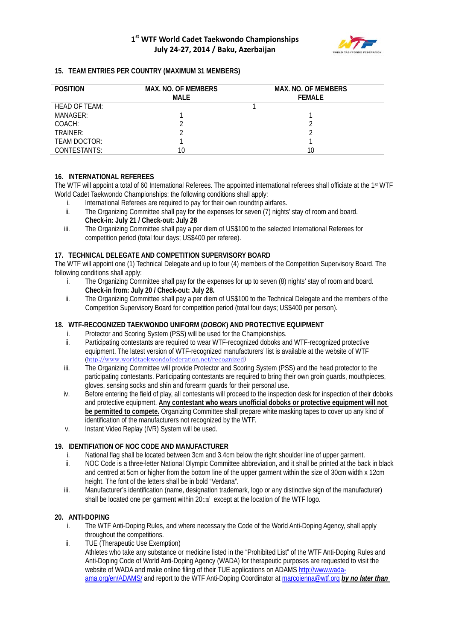

#### **15. TEAM ENTRIES PER COUNTRY (MAXIMUM 31 MEMBERS)**

| <b>POSITION</b> | <b>MAX. NO. OF MEMBERS</b><br>MALE | <b>MAX. NO. OF MEMBERS</b><br><b>FFMAIF</b> |
|-----------------|------------------------------------|---------------------------------------------|
| HEAD OF TEAM:   |                                    |                                             |
| MANAGER:        |                                    |                                             |
| COACH:          |                                    |                                             |
| TRAINFR:        |                                    |                                             |
| TEAM DOCTOR:    |                                    |                                             |
| CONTESTANTS:    | 10                                 | 10                                          |

#### **16. INTERNATIONAL REFEREES**

The WTF will appoint a total of 60 International Referees. The appointed international referees shall officiate at the 1st WTF World Cadet Taekwondo Championships; the following conditions shall apply:

- 
- i. International Referees are required to pay for their own roundtrip airfares.<br>ii. The Organizing Committee shall pay for the expenses for seven (7) nights The Organizing Committee shall pay for the expenses for seven (7) nights' stay of room and board. **Check-in: July 21 / Check-out: July 28**
- iii. The Organizing Committee shall pay a per diem of US\$100 to the selected International Referees for competition period (total four days; US\$400 per referee).

#### **17. TECHNICAL DELEGATE AND COMPETITION SUPERVISORY BOARD**

The WTF will appoint one (1) Technical Delegate and up to four (4) members of the Competition Supervisory Board. The following conditions shall apply:

- i. The Organizing Committee shall pay for the expenses for up to seven (8) nights' stay of room and board. **Check-in from: July 20 / Check-out: July 28.**
- ii. The Organizing Committee shall pay a per diem of US\$100 to the Technical Delegate and the members of the Competition Supervisory Board for competition period (total four days; US\$400 per person).

#### **18. WTF-RECOGNIZED TAEKWONDO UNIFORM (***DOBOK***) AND PROTECTIVE EQUIPMENT**

- i. Protector and Scoring System (PSS) will be used for the Championships.
- ii. Participating contestants are required to wear WTF-recognized doboks and WTF-recognized protective equipment. The latest version of WTF-recognized manufacturers' list is available at the website of WTF ([http://www.worldtaekwondofederation.net/recognized\)](http://www.worldtaekwondofederation.net/recognized)
- iii. The Organizing Committee will provide Protector and Scoring System (PSS) and the head protector to the participating contestants. Participating contestants are required to bring their own groin guards, mouthpieces, gloves, sensing socks and shin and forearm guards for their personal use.
- iv. Before entering the field of play, all contestants will proceed to the inspection desk for inspection of their doboks and protective equipment. **Any contestant who wears unofficial doboks or protective equipment will not**  be permitted to compete. Organizing Committee shall prepare white masking tapes to cover up any kind of identification of the manufacturers not recognized by the WTF.
- v. Instant Video Replay (IVR) System will be used.

#### **19. IDENTIFIATION OF NOC CODE AND MANUFACTURER**

- i. National flag shall be located between 3cm and 3.4cm below the right shoulder line of upper garment.<br>ii MOC Code is a three-letter National Olympic Committee abbreviation, and it shall be printed at the back
- NOC Code is a three-letter National Olympic Committee abbreviation, and it shall be printed at the back in black and centred at 5cm or higher from the bottom line of the upper garment within the size of 30cm width x 12cm height. The font of the letters shall be in bold "Verdana".
- iii. Manufacturer's identification (name, designation trademark, logo or any distinctive sign of the manufacturer) shall be located one per garment within 20 $cm<sup>2</sup>$  except at the location of the WTF logo.

#### **20. ANTI-DOPING**

- i. The WTF Anti-Doping Rules, and where necessary the Code of the World Anti-Doping Agency, shall apply throughout the competitions.
- ii. TUE (Therapeutic Use Exemption)

Athletes who take any substance or medicine listed in the "Prohibited List" of the WTF Anti-Doping Rules and Anti-Doping Code of World Anti-Doping Agency (WADA) for therapeutic purposes are requested to visit the website of WADA and make online filing of their TUE applications on ADAMS [http://www.wada](http://www.wada-ama.org/en/ADAMS/)[ama.org/en/ADAMS/](http://www.wada-ama.org/en/ADAMS/) and report to the WTF Anti-Doping Coordinator at [marcoienna@wtf.org](mailto:marcoienna@wtf.org) *by no later than*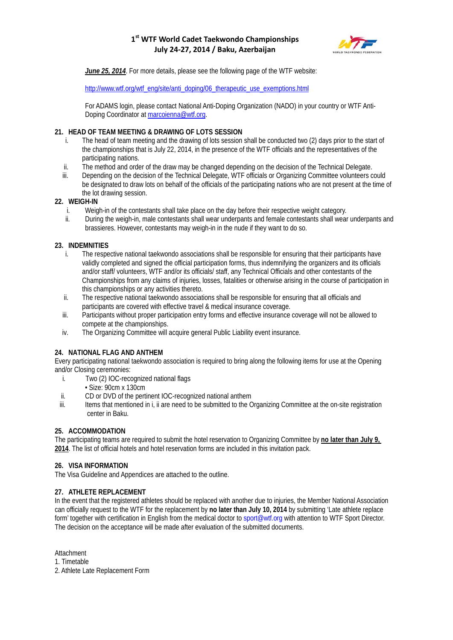### **1st WTF World Cadet Taekwondo Championships July 24-27, 2014 / Baku, Azerbaijan**



*June 25, 2014*. For more details, please see the following page of the WTF website:

[http://www.wtf.org/wtf\\_eng/site/anti\\_doping/06\\_therapeutic\\_use\\_exemptions.html](http://www.wtf.org/wtf_eng/site/anti_doping/06_therapeutic_use_exemptions.html)

For ADAMS login, please contact National Anti-Doping Organization (NADO) in your country or WTF AntiDoping Coordinator a[t marcoienna@wtf.org.](mailto:marcoienna@wtf.org)

#### **21. HEAD OF TEAM MEETING & DRAWING OF LOTS SESSION**

- i. The head of team meeting and the drawing of lots session shall be conducted two (2) days prior to the start of the championships that is July 22, 2014, in the presence of the WTF officials and the representatives of the participating nations.
- ii. The method and order of the draw may be changed depending on the decision of the Technical Delegate.
- iii. Depending on the decision of the Technical Delegate, WTF officials or Organizing Committee volunteers could be designated to draw lots on behalf of the officials of the participating nations who are not present at the time of the lot drawing session.

#### **22. WEIGH-IN**

- i. Weigh-in of the contestants shall take place on the day before their respective weight category.
- ii. During the weigh-in, male contestants shall wear underpants and female contestants shall wear underpants and brassieres. However, contestants may weigh-in in the nude if they want to do so.

#### **23. INDEMNITIES**

- i. The respective national taekwondo associations shall be responsible for ensuring that their participants have validly completed and signed the official participation forms, thus indemnifying the organizers and its officials and/or staff/ volunteers, WTF and/or its officials/ staff, any Technical Officials and other contestants of the Championships from any claims of injuries, losses, fatalities or otherwise arising in the course of participation in this championships or any activities thereto.
- ii. The respective national taekwondo associations shall be responsible for ensuring that all officials and participants are covered with effective travel & medical insurance coverage.
- iii. Participants without proper participation entry forms and effective insurance coverage will not be allowed to compete at the championships.
- iv. The Organizing Committee will acquire general Public Liability event insurance.

#### **24. NATIONAL FLAG AND ANTHEM**

Every participating national taekwondo association is required to bring along the following items for use at the Opening and/or Closing ceremonies:

- i. Two (2) IOC-recognized national flags
	- Size: 90cm x 130cm
- ii. CD or DVD of the pertinent IOC-recognized national anthem
- iii. Items that mentioned in i, ii are need to be submitted to the Organizing Committee at the on-site registration center in Baku.

#### **25. ACCOMMODATION**

The participating teams are required to submit the hotel reservation to Organizing Committee by **no later than July 9, 2014**. The list of official hotels and hotel reservation forms are included in this invitation pack.

#### **26. VISA INFORMATION**

The Visa Guideline and Appendices are attached to the outline.

#### **27. ATHLETE REPLACEMENT**

In the event that the registered athletes should be replaced with another due to injuries, the Member National Association can officially request to the WTF for the replacement by **no later than July 10, 2014** by submitting 'Late athlete replace form' together with certification in English from the medical doctor to sport@wtf.org with attention to WTF Sport Director. The decision on the acceptance will be made after evaluation of the submitted documents.

Attachment

1. Timetable

2. Athlete Late Replacement Form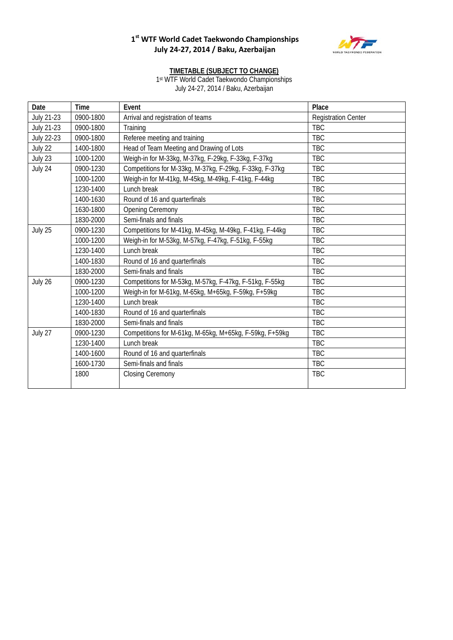## **1st WTF World Cadet Taekwondo Championships July 24-27, 2014 / Baku, Azerbaijan**



#### **TIMETABLE (SUBJECT TO CHANGE)**

1st WTF World Cadet Taekwondo Championships July 24-27, 2014 / Baku, Azerbaijan

| Date              | Time      | Event                                                   | Place                      |
|-------------------|-----------|---------------------------------------------------------|----------------------------|
| <b>July 21-23</b> | 0900-1800 | Arrival and registration of teams                       | <b>Registration Center</b> |
| <b>July 21-23</b> | 0900-1800 | Training                                                | <b>TBC</b>                 |
| <b>July 22-23</b> | 0900-1800 | Referee meeting and training                            | <b>TBC</b>                 |
| July 22           | 1400-1800 | Head of Team Meeting and Drawing of Lots                | <b>TBC</b>                 |
| July 23           | 1000-1200 | Weigh-in for M-33kg, M-37kg, F-29kg, F-33kg, F-37kg     | <b>TBC</b>                 |
| July 24           | 0900-1230 | Competitions for M-33kg, M-37kg, F-29kg, F-33kg, F-37kg | <b>TBC</b>                 |
|                   | 1000-1200 | Weigh-in for M-41kg, M-45kg, M-49kg, F-41kg, F-44kg     | <b>TBC</b>                 |
|                   | 1230-1400 | Lunch break                                             | <b>TBC</b>                 |
|                   | 1400-1630 | Round of 16 and quarterfinals                           | <b>TBC</b>                 |
|                   | 1630-1800 | <b>Opening Ceremony</b>                                 | <b>TBC</b>                 |
|                   | 1830-2000 | Semi-finals and finals                                  | <b>TBC</b>                 |
| July 25           | 0900-1230 | Competitions for M-41kg, M-45kg, M-49kg, F-41kg, F-44kg | <b>TBC</b>                 |
|                   | 1000-1200 | Weigh-in for M-53kg, M-57kg, F-47kg, F-51kg, F-55kg     | <b>TBC</b>                 |
|                   | 1230-1400 | Lunch break                                             | <b>TBC</b>                 |
|                   | 1400-1830 | Round of 16 and quarterfinals                           | <b>TBC</b>                 |
|                   | 1830-2000 | Semi-finals and finals                                  | <b>TBC</b>                 |
| July 26           | 0900-1230 | Competitions for M-53kg, M-57kg, F-47kg, F-51kg, F-55kg | <b>TBC</b>                 |
|                   | 1000-1200 | Weigh-in for M-61kg, M-65kg, M+65kg, F-59kg, F+59kg     | <b>TBC</b>                 |
|                   | 1230-1400 | Lunch break                                             | <b>TBC</b>                 |
|                   | 1400-1830 | Round of 16 and quarterfinals                           | <b>TBC</b>                 |
|                   | 1830-2000 | Semi-finals and finals                                  | <b>TBC</b>                 |
| July 27           | 0900-1230 | Competitions for M-61kg, M-65kg, M+65kg, F-59kg, F+59kg | <b>TBC</b>                 |
|                   | 1230-1400 | Lunch break                                             | <b>TBC</b>                 |
|                   | 1400-1600 | Round of 16 and quarterfinals                           | <b>TBC</b>                 |
|                   | 1600-1730 | Semi-finals and finals                                  | <b>TBC</b>                 |
|                   | 1800      | <b>Closing Ceremony</b>                                 | <b>TBC</b>                 |
|                   |           |                                                         |                            |